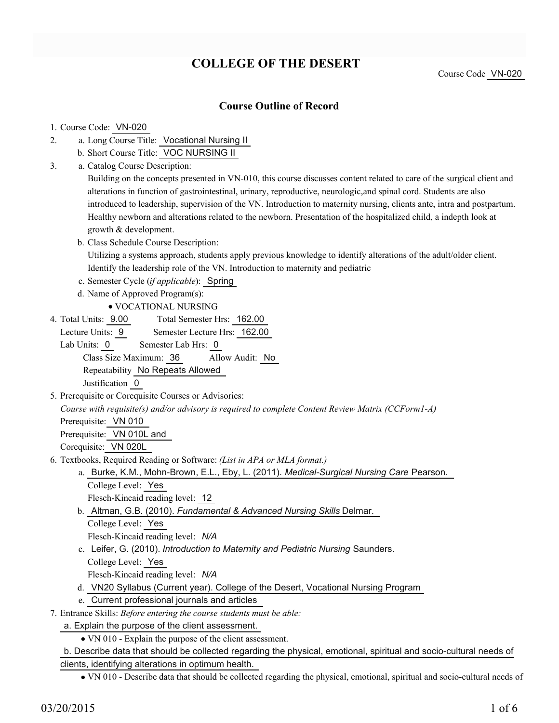# **COLLEGE OF THE DESERT**

Course Code VN-020

## **Course Outline of Record**

#### 1. Course Code: VN-020

- a. Long Course Title: Vocational Nursing II 2.
	- b. Short Course Title: VOC NURSING II
- Catalog Course Description: a. 3.

Building on the concepts presented in VN-010, this course discusses content related to care of the surgical client and alterations in function of gastrointestinal, urinary, reproductive, neurologic,and spinal cord. Students are also introduced to leadership, supervision of the VN. Introduction to maternity nursing, clients ante, intra and postpartum. Healthy newborn and alterations related to the newborn. Presentation of the hospitalized child, a indepth look at growth & development.

b. Class Schedule Course Description:

Utilizing a systems approach, students apply previous knowledge to identify alterations of the adult/older client. Identify the leadership role of the VN. Introduction to maternity and pediatric

- c. Semester Cycle (*if applicable*): Spring
- d. Name of Approved Program(s):
	- VOCATIONAL NURSING
- Total Semester Hrs: 162.00 4. Total Units: 9.00

Lecture Units: 9 Semester Lecture Hrs: 162.00

Lab Units: 0 Semester Lab Hrs: 0 Class Size Maximum: 36 Allow Audit: No

Repeatability No Repeats Allowed

Justification 0

5. Prerequisite or Corequisite Courses or Advisories:

*Course with requisite(s) and/or advisory is required to complete Content Review Matrix (CCForm1-A)*

Prerequisite: VN 010

Prerequisite: VN 010L and

Corequisite: VN 020L

- Textbooks, Required Reading or Software: *(List in APA or MLA format.)* 6.
	- a. Burke, K.M., Mohn-Brown, E.L., Eby, L. (2011). *Medical-Surgical Nursing Care* Pearson. College Level: Yes

Flesch-Kincaid reading level: 12

- Altman, G.B. (2010). *Fundamental & Advanced Nursing Skills* Delmar. b.
	- College Level: Yes

Flesch-Kincaid reading level: *N/A*

- c. Leifer, G. (2010). *Introduction to Maternity and Pediatric Nursing* Saunders. College Level: Yes
- Flesch-Kincaid reading level: *N/A*
- d. VN20 Syllabus (Current year). College of the Desert, Vocational Nursing Program
- e. Current professional journals and articles

Entrance Skills: *Before entering the course students must be able:* 7.

a. Explain the purpose of the client assessment.

VN 010 - Explain the purpose of the client assessment.

b. Describe data that should be collected regarding the physical, emotional, spiritual and socio-cultural needs of clients, identifying alterations in optimum health.

VN 010 - Describe data that should be collected regarding the physical, emotional, spiritual and socio-cultural needs of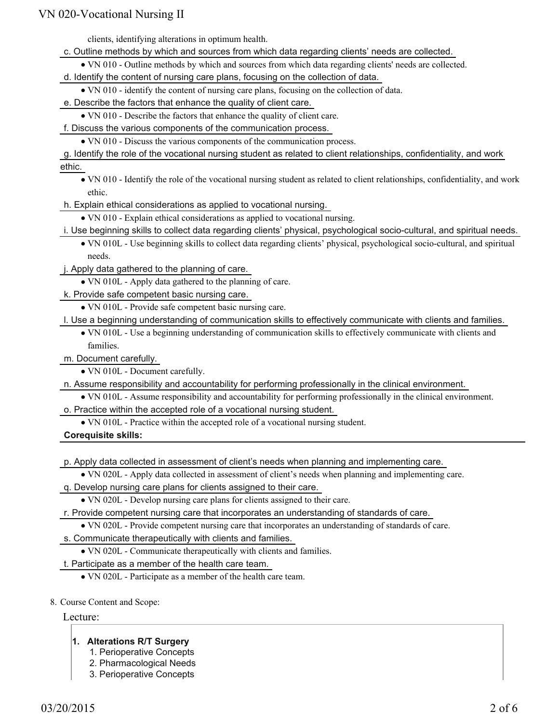clients, identifying alterations in optimum health.

- c. Outline methods by which and sources from which data regarding clients' needs are collected.
	- VN 010 Outline methods by which and sources from which data regarding clients' needs are collected.
- d. Identify the content of nursing care plans, focusing on the collection of data.
	- VN 010 identify the content of nursing care plans, focusing on the collection of data.
- e. Describe the factors that enhance the quality of client care.
- VN 010 Describe the factors that enhance the quality of client care.
- f. Discuss the various components of the communication process.
	- VN 010 Discuss the various components of the communication process.
- g. Identify the role of the vocational nursing student as related to client relationships, confidentiality, and work ethic.
	- VN 010 Identify the role of the vocational nursing student as related to client relationships, confidentiality, and work ethic.
- h. Explain ethical considerations as applied to vocational nursing.
	- VN 010 Explain ethical considerations as applied to vocational nursing.
- i. Use beginning skills to collect data regarding clients' physical, psychological socio-cultural, and spiritual needs.
	- VN 010L Use beginning skills to collect data regarding clients' physical, psychological socio-cultural, and spiritual needs.
- j. Apply data gathered to the planning of care.
	- VN 010L Apply data gathered to the planning of care.
- k. Provide safe competent basic nursing care.
	- VN 010L Provide safe competent basic nursing care.
- l. Use a beginning understanding of communication skills to effectively communicate with clients and families.
	- VN 010L Use a beginning understanding of communication skills to effectively communicate with clients and families.
- m. Document carefully.
	- VN 010L Document carefully.
- n. Assume responsibility and accountability for performing professionally in the clinical environment.
	- VN 010L Assume responsibility and accountability for performing professionally in the clinical environment.
- o. Practice within the accepted role of a vocational nursing student.
	- VN 010L Practice within the accepted role of a vocational nursing student.

#### **Corequisite skills:**

p. Apply data collected in assessment of client's needs when planning and implementing care.

- VN 020L Apply data collected in assessment of client's needs when planning and implementing care.
- q. Develop nursing care plans for clients assigned to their care.
	- VN 020L Develop nursing care plans for clients assigned to their care.
- r. Provide competent nursing care that incorporates an understanding of standards of care.
- VN 020L Provide competent nursing care that incorporates an understanding of standards of care.
- s. Communicate therapeutically with clients and families.
	- VN 020L Communicate therapeutically with clients and families.
- t. Participate as a member of the health care team.
	- VN 020L Participate as a member of the health care team.
- 8. Course Content and Scope:

## Lecture:

- **1. Alterations R/T Surgery**
	- 1. Perioperative Concepts
	- 2. Pharmacological Needs
	- 3. Perioperative Concepts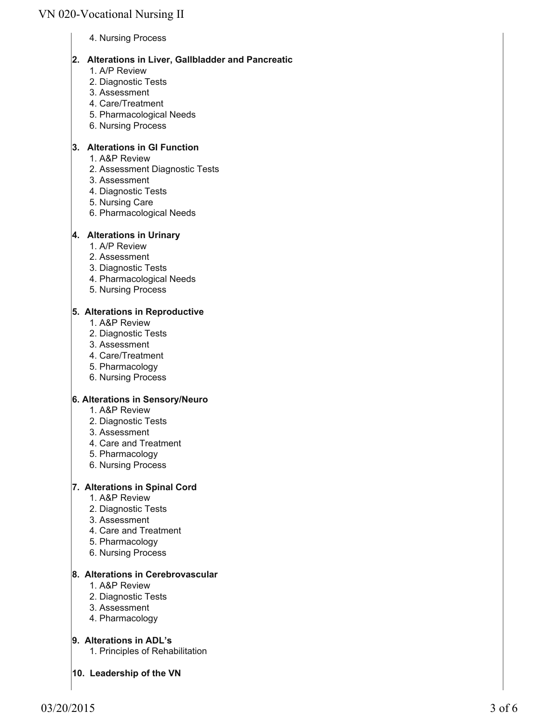4. Nursing Process

### **2. Alterations in Liver, Gallbladder and Pancreatic**

- 1. A/P Review
- 2. Diagnostic Tests
- 3. Assessment
- 4. Care/Treatment
- 5. Pharmacological Needs
- 6. Nursing Process

#### **3. Alterations in GI Function**

- 1. A&P Review
- 2. Assessment Diagnostic Tests
- 3. Assessment
- 4. Diagnostic Tests
- 5. Nursing Care
- 6. Pharmacological Needs

#### **4. Alterations in Urinary**

- 1. A/P Review
- 2. Assessment
- 3. Diagnostic Tests
- 4. Pharmacological Needs
- 5. Nursing Process

## **5. Alterations in Reproductive**

- 1. A&P Review
- 2. Diagnostic Tests
- 3. Assessment
- 4. Care/Treatment
- 5. Pharmacology
- 6. Nursing Process

## **6. Alterations in Sensory/Neuro**

- 1. A&P Review
- 2. Diagnostic Tests
- 3. Assessment
- 4. Care and Treatment
- 5. Pharmacology
- 6. Nursing Process

## **7. Alterations in Spinal Cord**

- 1. A&P Review
- 2. Diagnostic Tests
- 3. Assessment
- 4. Care and Treatment
- 5. Pharmacology
- 6. Nursing Process

## **8. Alterations in Cerebrovascular**

- 1. A&P Review
- 2. Diagnostic Tests
- 3. Assessment
- 4. Pharmacology

## **9. Alterations in ADL's**

1. Principles of Rehabilitation

**10. Leadership of the VN**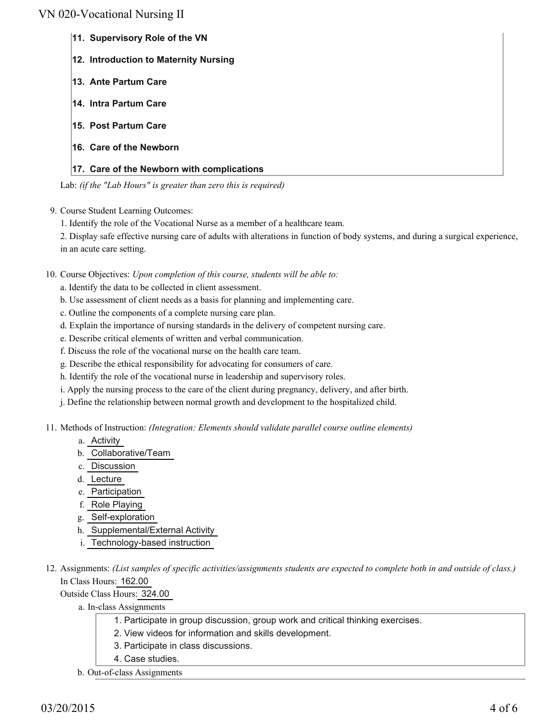- **11. Supervisory Role of the VN**
- **12. Introduction to Maternity Nursing**
- **13. Ante Partum Care**
- **14. Intra Partum Care**
- **15. Post Partum Care**
- **16. Care of the Newborn**

## **17. Care of the Newborn with complications**

Lab: *(if the "Lab Hours" is greater than zero this is required)*

- 9. Course Student Learning Outcomes:
	- 1. Identify the role of the Vocational Nurse as a member of a healthcare team.

2. Display safe effective nursing care of adults with alterations in function of body systems, and during a surgical experience, in an acute care setting.

10. Course Objectives: Upon completion of this course, students will be able to:

- a. Identify the data to be collected in client assessment.
- b. Use assessment of client needs as a basis for planning and implementing care.
- c. Outline the components of a complete nursing care plan.
- d. Explain the importance of nursing standards in the delivery of competent nursing care.
- e. Describe critical elements of written and verbal communication.
- f. Discuss the role of the vocational nurse on the health care team.
- g. Describe the ethical responsibility for advocating for consumers of care.
- h. Identify the role of the vocational nurse in leadership and supervisory roles.
- i. Apply the nursing process to the care of the client during pregnancy, delivery, and after birth.
- j. Define the relationship between normal growth and development to the hospitalized child.
- 11. Methods of Instruction: *(Integration: Elements should validate parallel course outline elements)* 
	- a. Activity
	- b. Collaborative/Team
	- c. Discussion
	- d. Lecture
	- e. Participation
	- f. Role Playing
	- g. Self-exploration
	- h. Supplemental/External Activity
	- i. Technology-based instruction
- 12. Assignments: (List samples of specific activities/assignments students are expected to complete both in and outside of class.) In Class Hours: 162.00

Outside Class Hours: 324.00

- a. In-class Assignments
	- 1. Participate in group discussion, group work and critical thinking exercises.
	- 2. View videos for information and skills development.
	- 3. Participate in class discussions.
	- 4. Case studies.
- b. Out-of-class Assignments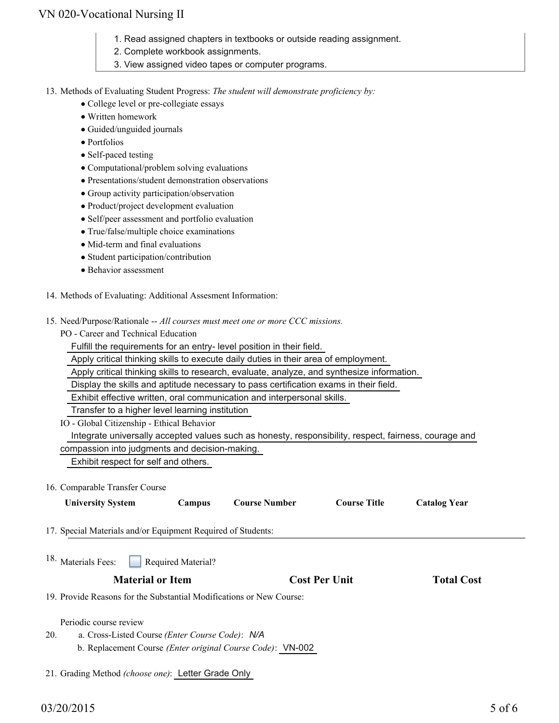- 1. Read assigned chapters in textbooks or outside reading assignment.
- 2. Complete workbook assignments.
- 3. View assigned video tapes or computer programs.

13. Methods of Evaluating Student Progress: The student will demonstrate proficiency by:

- College level or pre-collegiate essays
- Written homework
- Guided/unguided journals
- Portfolios
- Self-paced testing
- Computational/problem solving evaluations
- Presentations/student demonstration observations
- Group activity participation/observation
- Product/project development evaluation
- Self/peer assessment and portfolio evaluation
- True/false/multiple choice examinations
- Mid-term and final evaluations
- Student participation/contribution
- Behavior assessment
- 14. Methods of Evaluating: Additional Assesment Information:
- 15. Need/Purpose/Rationale -- All courses must meet one or more CCC missions.

PO - Career and Technical Education

Fulfill the requirements for an entry- level position in their field.

Apply critical thinking skills to execute daily duties in their area of employment.

Apply critical thinking skills to research, evaluate, analyze, and synthesize information.

Display the skills and aptitude necessary to pass certification exams in their field.

Exhibit effective written, oral communication and interpersonal skills.

Transfer to a higher level learning institution

IO - Global Citizenship - Ethical Behavior

Integrate universally accepted values such as honesty, responsibility, respect, fairness, courage and

compassion into judgments and decision-making.

Exhibit respect for self and others.

#### 16. Comparable Transfer Course

| <b>University System</b>                                             | <b>Campus</b>      | <b>Course Number</b>                                               | <b>Course Title</b>  | <b>Catalog Year</b> |  |
|----------------------------------------------------------------------|--------------------|--------------------------------------------------------------------|----------------------|---------------------|--|
| 17. Special Materials and/or Equipment Required of Students:         |                    |                                                                    |                      |                     |  |
| <sup>18.</sup> Materials Fees:                                       | Required Material? |                                                                    |                      |                     |  |
| <b>Material or Item</b>                                              |                    |                                                                    | <b>Cost Per Unit</b> | <b>Total Cost</b>   |  |
| 19. Provide Reasons for the Substantial Modifications or New Course: |                    |                                                                    |                      |                     |  |
| Periodic course review                                               |                    |                                                                    |                      |                     |  |
| 20.<br>a. Cross-Listed Course ( <i>Enter Course Code</i> ): N/A      |                    |                                                                    |                      |                     |  |
|                                                                      |                    | b. Replacement Course <i>(Enter original Course Code)</i> : VN-002 |                      |                     |  |
| 21. Grading Method <i>(choose one)</i> : Letter Grade Only           |                    |                                                                    |                      |                     |  |